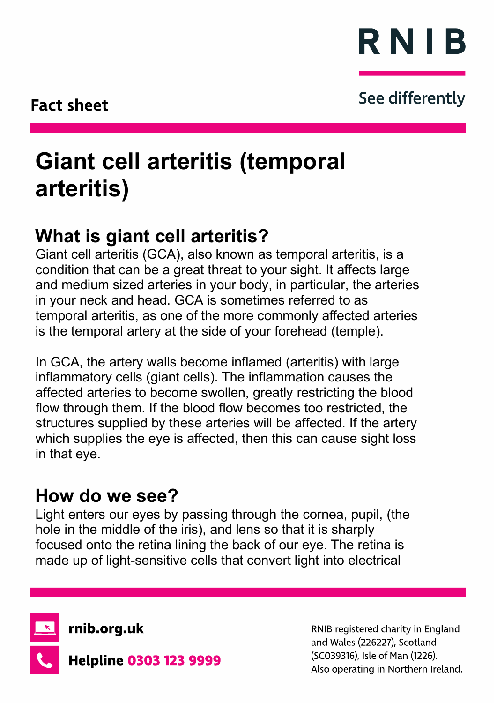

### See differently

# **Giant cell arteritis (temporal arteritis)**

# **What is giant cell arteritis?**

Giant cell arteritis (GCA), also known as temporal arteritis, is a condition that can be a great threat to your sight. It affects large and medium sized arteries in your body, in particular, the arteries in your neck and head. GCA is sometimes referred to as temporal arteritis, as one of the more commonly affected arteries is the temporal artery at the side of your forehead (temple).

In GCA, the artery walls become inflamed (arteritis) with large inflammatory cells (giant cells). The inflammation causes the affected arteries to become swollen, greatly restricting the blood flow through them. If the blood flow becomes too restricted, the structures supplied by these arteries will be affected. If the artery which supplies the eye is affected, then this can cause sight loss in that eye.

# **How do we see?**

Light enters our eyes by passing through the cornea, pupil, (the hole in the middle of the iris), and lens so that it is sharply focused onto the retina lining the back of our eye. The retina is made up of light-sensitive cells that convert light into electrical



rnib.org.uk



**Helpline 0303 123 9999** 

RNIB registered charity in England and Wales (226227), Scotland (SC039316), Isle of Man (1226). Also operating in Northern Ireland.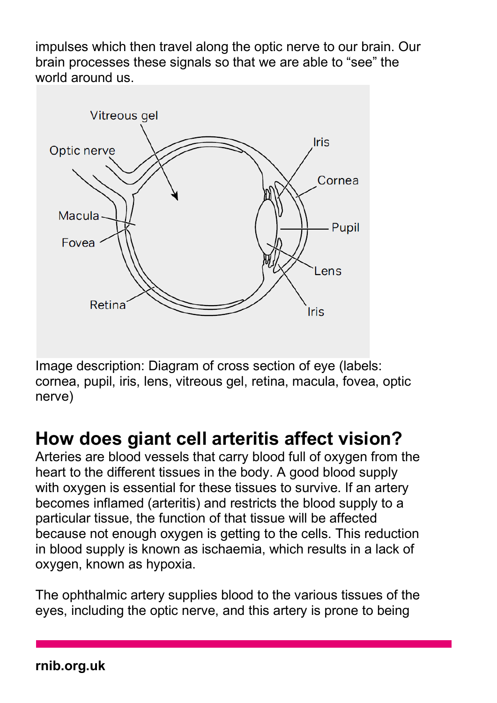impulses which then travel along the optic nerve to our brain. Our brain processes these signals so that we are able to "see" the world around us.



Image description: Diagram of cross section of eye (labels: cornea, pupil, iris, lens, vitreous gel, retina, macula, fovea, optic nerve)

### **How does giant cell arteritis affect vision?**

Arteries are blood vessels that carry blood full of oxygen from the heart to the different tissues in the body. A good blood supply with oxygen is essential for these tissues to survive. If an artery becomes inflamed (arteritis) and restricts the blood supply to a particular tissue, the function of that tissue will be affected because not enough oxygen is getting to the cells. This reduction in blood supply is known as ischaemia, which results in a lack of oxygen, known as hypoxia.

The ophthalmic artery supplies blood to the various tissues of the eyes, including the optic nerve, and this artery is prone to being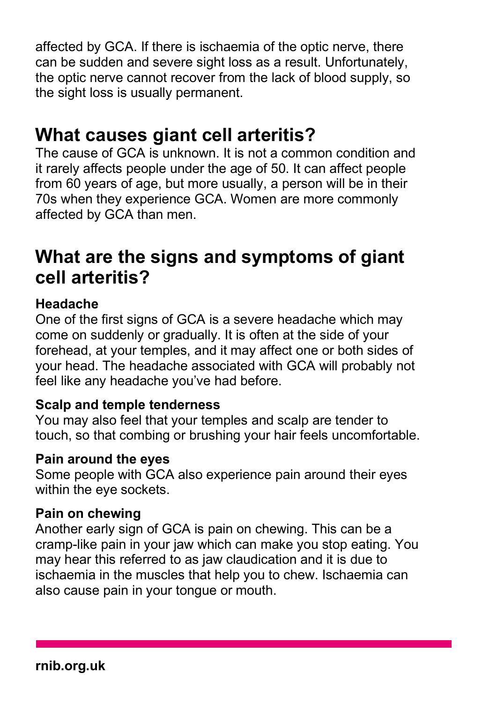affected by GCA. If there is ischaemia of the optic nerve, there can be sudden and severe sight loss as a result. Unfortunately, the optic nerve cannot recover from the lack of blood supply, so the sight loss is usually permanent.

# **What causes giant cell arteritis?**

The cause of GCA is unknown. It is not a common condition and it rarely affects people under the age of 50. It can affect people from 60 years of age, but more usually, a person will be in their 70s when they experience GCA. Women are more commonly affected by GCA than men.

# **What are the signs and symptoms of giant cell arteritis?**

### **Headache**

One of the first signs of GCA is a severe headache which may come on suddenly or gradually. It is often at the side of your forehead, at your temples, and it may affect one or both sides of your head. The headache associated with GCA will probably not feel like any headache you've had before.

### **Scalp and temple tenderness**

You may also feel that your temples and scalp are tender to touch, so that combing or brushing your hair feels uncomfortable.

### **Pain around the eyes**

Some people with GCA also experience pain around their eyes within the eye sockets.

### **Pain on chewing**

Another early sign of GCA is pain on chewing. This can be a cramp-like pain in your jaw which can make you stop eating. You may hear this referred to as jaw claudication and it is due to ischaemia in the muscles that help you to chew. Ischaemia can also cause pain in your tongue or mouth.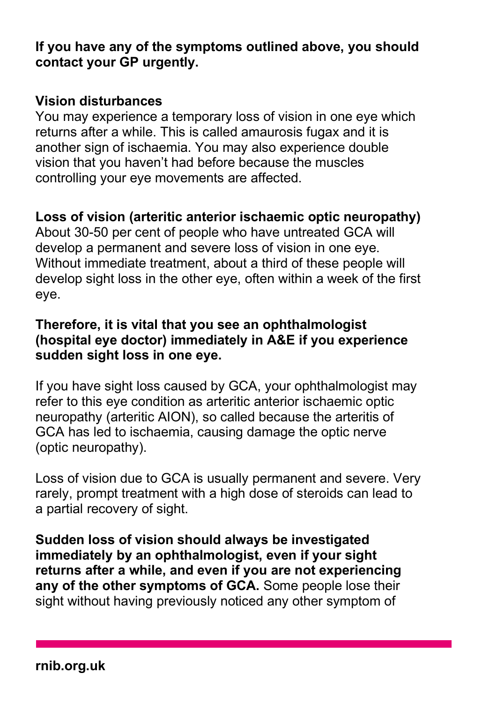**If you have any of the symptoms outlined above, you should contact your GP urgently.**

#### **Vision disturbances**

You may experience a temporary loss of vision in one eye which returns after a while. This is called amaurosis fugax and it is another sign of ischaemia. You may also experience double vision that you haven't had before because the muscles controlling your eye movements are affected.

#### **Loss of vision (arteritic anterior ischaemic optic neuropathy)**

About 30-50 per cent of people who have untreated GCA will develop a permanent and severe loss of vision in one eye. Without immediate treatment, about a third of these people will develop sight loss in the other eye, often within a week of the first eye.

#### **Therefore, it is vital that you see an ophthalmologist (hospital eye doctor) immediately in A&E if you experience sudden sight loss in one eye.**

If you have sight loss caused by GCA, your ophthalmologist may refer to this eye condition as arteritic anterior ischaemic optic neuropathy (arteritic AION), so called because the arteritis of GCA has led to ischaemia, causing damage the optic nerve (optic neuropathy).

Loss of vision due to GCA is usually permanent and severe. Very rarely, prompt treatment with a high dose of steroids can lead to a partial recovery of sight.

**Sudden loss of vision should always be investigated immediately by an ophthalmologist, even if your sight returns after a while, and even if you are not experiencing any of the other symptoms of GCA.** Some people lose their sight without having previously noticed any other symptom of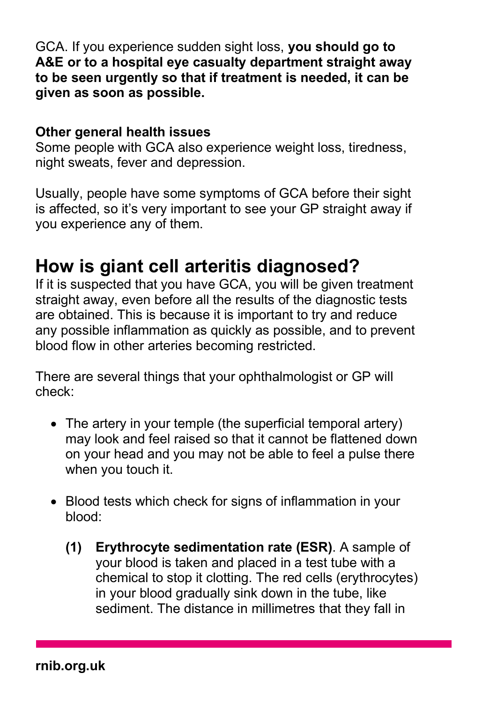GCA. If you experience sudden sight loss, **you should go to A&E or to a hospital eye casualty department straight away to be seen urgently so that if treatment is needed, it can be given as soon as possible.**

#### **Other general health issues**

Some people with GCA also experience weight loss, tiredness, night sweats, fever and depression.

Usually, people have some symptoms of GCA before their sight is affected, so it's very important to see your GP straight away if you experience any of them.

### **How is giant cell arteritis diagnosed?**

If it is suspected that you have GCA, you will be given treatment straight away, even before all the results of the diagnostic tests are obtained. This is because it is important to try and reduce any possible inflammation as quickly as possible, and to prevent blood flow in other arteries becoming restricted.

There are several things that your ophthalmologist or GP will check:

- The artery in your temple (the superficial temporal artery) may look and feel raised so that it cannot be flattened down on your head and you may not be able to feel a pulse there when you touch it.
- Blood tests which check for signs of inflammation in your blood:
	- **(1) Erythrocyte sedimentation rate (ESR)**. A sample of your blood is taken and placed in a test tube with a chemical to stop it clotting. The red cells (erythrocytes) in your blood gradually sink down in the tube, like sediment. The distance in millimetres that they fall in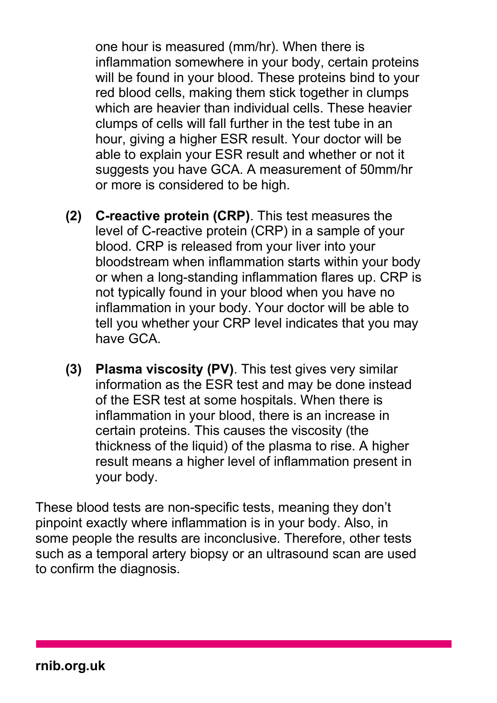one hour is measured (mm/hr). When there is inflammation somewhere in your body, certain proteins will be found in your blood. These proteins bind to your red blood cells, making them stick together in clumps which are heavier than individual cells. These heavier clumps of cells will fall further in the test tube in an hour, giving a higher ESR result. Your doctor will be able to explain your ESR result and whether or not it suggests you have GCA. A measurement of 50mm/hr or more is considered to be high.

- **(2) C-reactive protein (CRP)**. This test measures the level of C-reactive protein (CRP) in a sample of your blood. CRP is released from your liver into your bloodstream when inflammation starts within your body or when a long-standing inflammation flares up. CRP is not typically found in your blood when you have no inflammation in your body. Your doctor will be able to tell you whether your CRP level indicates that you may have GCA.
- **(3) Plasma viscosity (PV)**. This test gives very similar information as the ESR test and may be done instead of the ESR test at some hospitals. When there is inflammation in your blood, there is an increase in certain proteins. This causes the viscosity (the thickness of the liquid) of the plasma to rise. A higher result means a higher level of inflammation present in your body.

These blood tests are non-specific tests, meaning they don't pinpoint exactly where inflammation is in your body. Also, in some people the results are inconclusive. Therefore, other tests such as a temporal artery biopsy or an ultrasound scan are used to confirm the diagnosis.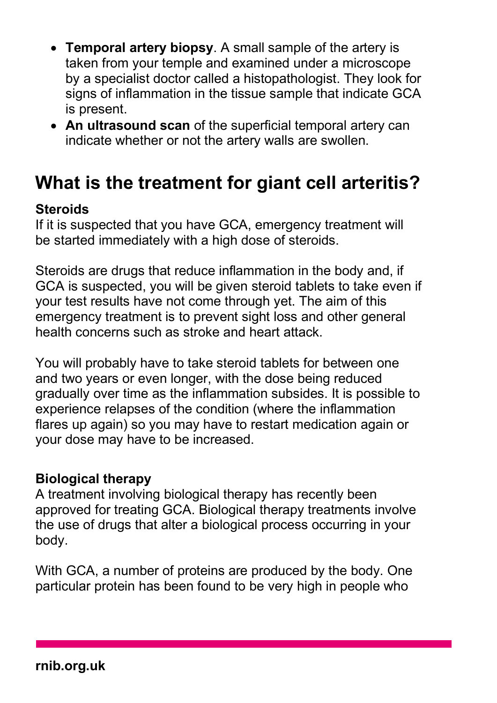- **Temporal artery biopsy**. A small sample of the artery is taken from your temple and examined under a microscope by a specialist doctor called a histopathologist. They look for signs of inflammation in the tissue sample that indicate GCA is present.
- **An ultrasound scan** of the superficial temporal artery can indicate whether or not the artery walls are swollen.

### **What is the treatment for giant cell arteritis?**

#### **Steroids**

If it is suspected that you have GCA, emergency treatment will be started immediately with a high dose of steroids.

Steroids are drugs that reduce inflammation in the body and, if GCA is suspected, you will be given steroid tablets to take even if your test results have not come through yet. The aim of this emergency treatment is to prevent sight loss and other general health concerns such as stroke and heart attack.

You will probably have to take steroid tablets for between one and two years or even longer, with the dose being reduced gradually over time as the inflammation subsides. It is possible to experience relapses of the condition (where the inflammation flares up again) so you may have to restart medication again or your dose may have to be increased.

#### **Biological therapy**

A treatment involving biological therapy has recently been approved for treating GCA. Biological therapy treatments involve the use of drugs that alter a biological process occurring in your body.

With GCA, a number of proteins are produced by the body. One particular protein has been found to be very high in people who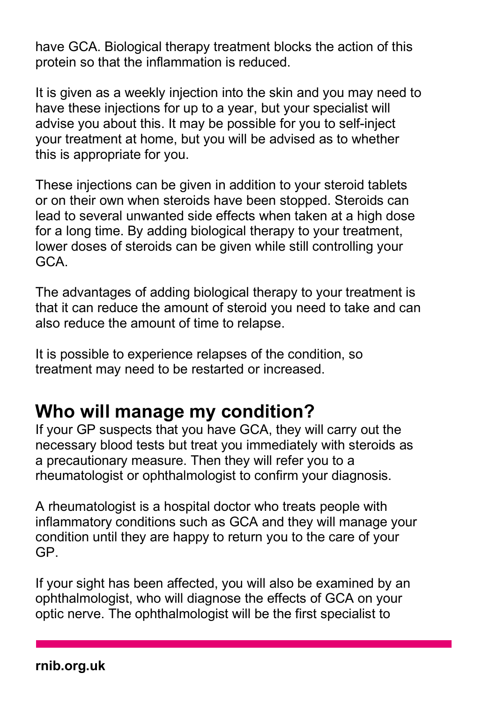have GCA. Biological therapy treatment blocks the action of this protein so that the inflammation is reduced.

It is given as a weekly injection into the skin and you may need to have these injections for up to a year, but your specialist will advise you about this. It may be possible for you to self-inject your treatment at home, but you will be advised as to whether this is appropriate for you.

These injections can be given in addition to your steroid tablets or on their own when steroids have been stopped. Steroids can lead to several unwanted side effects when taken at a high dose for a long time. By adding biological therapy to your treatment, lower doses of steroids can be given while still controlling your GCA.

The advantages of adding biological therapy to your treatment is that it can reduce the amount of steroid you need to take and can also reduce the amount of time to relapse.

It is possible to experience relapses of the condition, so treatment may need to be restarted or increased.

# **Who will manage my condition?**

If your GP suspects that you have GCA, they will carry out the necessary blood tests but treat you immediately with steroids as a precautionary measure. Then they will refer you to a rheumatologist or ophthalmologist to confirm your diagnosis.

A rheumatologist is a hospital doctor who treats people with inflammatory conditions such as GCA and they will manage your condition until they are happy to return you to the care of your GP.

If your sight has been affected, you will also be examined by an ophthalmologist, who will diagnose the effects of GCA on your optic nerve. The ophthalmologist will be the first specialist to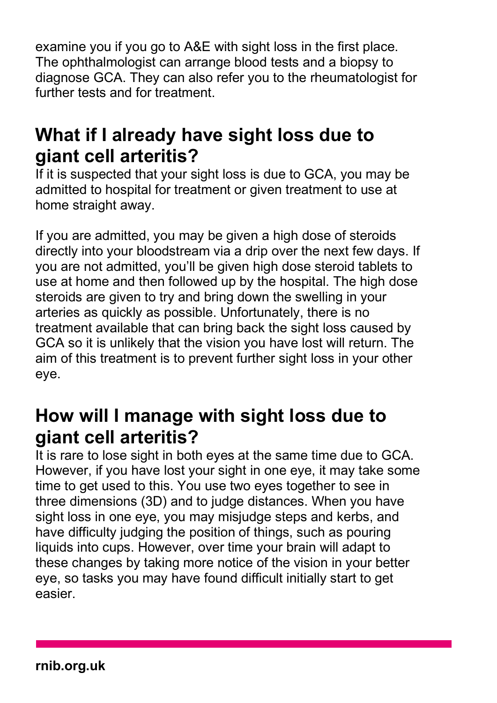examine you if you go to A&E with sight loss in the first place. The ophthalmologist can arrange blood tests and a biopsy to diagnose GCA. They can also refer you to the rheumatologist for further tests and for treatment.

### **What if I already have sight loss due to giant cell arteritis?**

If it is suspected that your sight loss is due to GCA, you may be admitted to hospital for treatment or given treatment to use at home straight away.

If you are admitted, you may be given a high dose of steroids directly into your bloodstream via a drip over the next few days. If you are not admitted, you'll be given high dose steroid tablets to use at home and then followed up by the hospital. The high dose steroids are given to try and bring down the swelling in your arteries as quickly as possible. Unfortunately, there is no treatment available that can bring back the sight loss caused by GCA so it is unlikely that the vision you have lost will return. The aim of this treatment is to prevent further sight loss in your other eye.

### **How will I manage with sight loss due to giant cell arteritis?**

It is rare to lose sight in both eyes at the same time due to GCA. However, if you have lost your sight in one eye, it may take some time to get used to this. You use two eyes together to see in three dimensions (3D) and to judge distances. When you have sight loss in one eye, you may misjudge steps and kerbs, and have difficulty judging the position of things, such as pouring liquids into cups. However, over time your brain will adapt to these changes by taking more notice of the vision in your better eye, so tasks you may have found difficult initially start to get easier.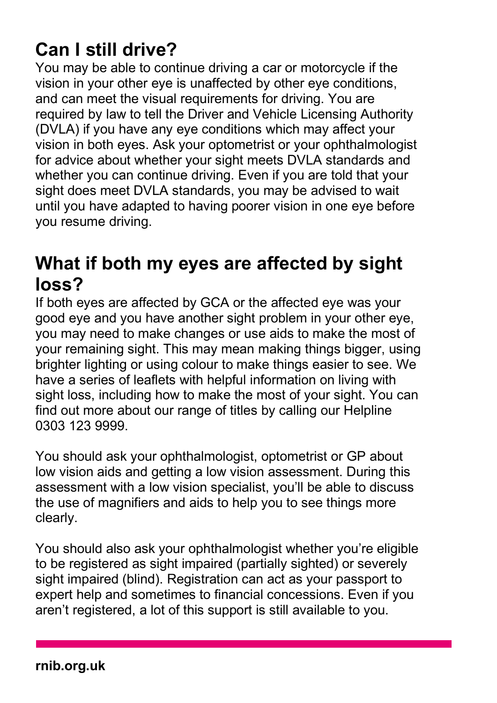# **Can I still drive?**

You may be able to continue driving a car or motorcycle if the vision in your other eye is unaffected by other eye conditions, and can meet the visual requirements for driving. You are required by law to tell the Driver and Vehicle Licensing Authority (DVLA) if you have any eye conditions which may affect your vision in both eyes. Ask your optometrist or your ophthalmologist for advice about whether your sight meets DVLA standards and whether you can continue driving. Even if you are told that your sight does meet DVLA standards, you may be advised to wait until you have adapted to having poorer vision in one eye before you resume driving.

### **What if both my eyes are affected by sight loss?**

If both eyes are affected by GCA or the affected eye was your good eye and you have another sight problem in your other eye, you may need to make changes or use aids to make the most of your remaining sight. This may mean making things bigger, using brighter lighting or using colour to make things easier to see. We have a series of leaflets with helpful information on living with sight loss, including how to make the most of your sight. You can find out more about our range of titles by calling our Helpline 0303 123 9999.

You should ask your ophthalmologist, optometrist or GP about low vision aids and getting a low vision assessment. During this assessment with a low vision specialist, you'll be able to discuss the use of magnifiers and aids to help you to see things more clearly.

You should also ask your ophthalmologist whether you're eligible to be registered as sight impaired (partially sighted) or severely sight impaired (blind). Registration can act as your passport to expert help and sometimes to financial concessions. Even if you aren't registered, a lot of this support is still available to you.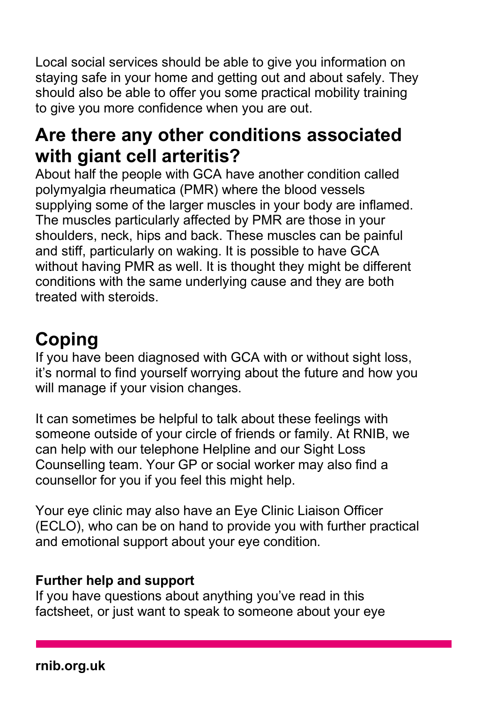Local social services should be able to give you information on staying safe in your home and getting out and about safely. They should also be able to offer you some practical mobility training to give you more confidence when you are out.

### **Are there any other conditions associated with giant cell arteritis?**

About half the people with GCA have another condition called polymyalgia rheumatica (PMR) where the blood vessels supplying some of the larger muscles in your body are inflamed. The muscles particularly affected by PMR are those in your shoulders, neck, hips and back. These muscles can be painful and stiff, particularly on waking. It is possible to have GCA without having PMR as well. It is thought they might be different conditions with the same underlying cause and they are both treated with steroids.

# **Coping**

If you have been diagnosed with GCA with or without sight loss, it's normal to find yourself worrying about the future and how you will manage if your vision changes.

It can sometimes be helpful to talk about these feelings with someone outside of your circle of friends or family. At RNIB, we can help with our telephone Helpline and our Sight Loss Counselling team. Your GP or social worker may also find a counsellor for you if you feel this might help.

Your eye clinic may also have an Eye Clinic Liaison Officer (ECLO), who can be on hand to provide you with further practical and emotional support about your eye condition.

### **Further help and support**

If you have questions about anything you've read in this factsheet, or just want to speak to someone about your eye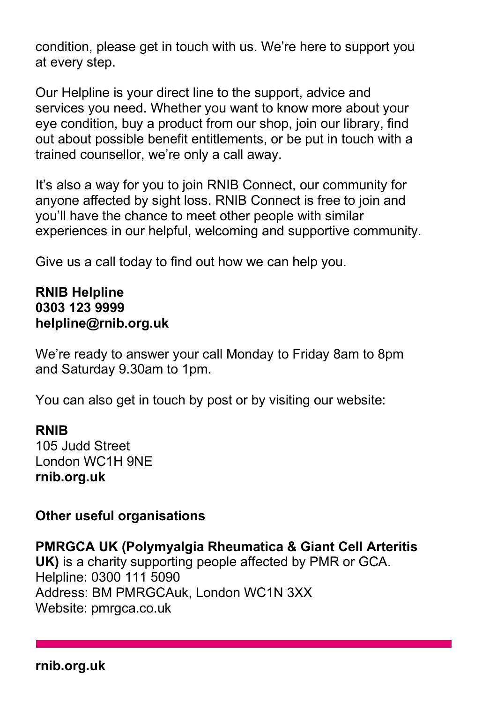condition, please get in touch with us. We're here to support you at every step.

Our Helpline is your direct line to the support, advice and services you need. Whether you want to know more about your eye condition, buy a product from our shop, join our library, find out about possible benefit entitlements, or be put in touch with a trained counsellor, we're only a call away.

It's also a way for you to join RNIB Connect, our community for anyone affected by sight loss. RNIB Connect is free to join and you'll have the chance to meet other people with similar experiences in our helpful, welcoming and supportive community.

Give us a call today to find out how we can help you.

#### **RNIB Helpline 0303 123 9999 helpline@rnib.org.uk**

We're ready to answer your call Monday to Friday 8am to 8pm and Saturday 9.30am to 1pm.

You can also get in touch by post or by visiting our website:

#### **RNIB**

105 Judd Street London WC1H 9NE **rnib.org.uk**

### **Other useful organisations**

**PMRGCA UK (Polymyalgia Rheumatica & Giant Cell Arteritis UK)** is a charity supporting people affected by PMR or GCA. Helpline: 0300 111 5090 Address: BM PMRGCAuk, London WC1N 3XX Website: pmrgca.co.uk